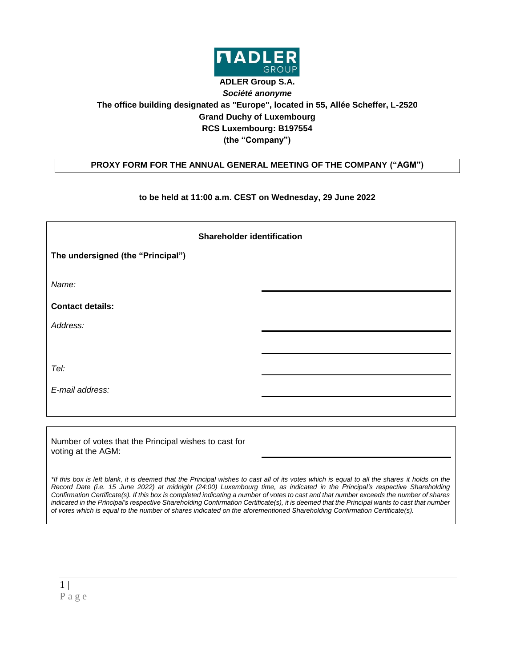

## **ADLER Group S.A.** *Société anonyme* **The office building designated as "Europe", located in 55, Allée Scheffer, L-2520 Grand Duchy of Luxembourg RCS Luxembourg: B197554 (the "Company")**

## **PROXY FORM FOR THE ANNUAL GENERAL MEETING OF THE COMPANY ("AGM")**

## **to be held at 11:00 a.m. CEST on Wednesday, 29 June 2022**

| <b>Shareholder identification</b> |  |  |  |  |
|-----------------------------------|--|--|--|--|
| The undersigned (the "Principal") |  |  |  |  |
| Name:                             |  |  |  |  |
| <b>Contact details:</b>           |  |  |  |  |
| Address:                          |  |  |  |  |
|                                   |  |  |  |  |
| Tel:                              |  |  |  |  |
| E-mail address:                   |  |  |  |  |
|                                   |  |  |  |  |

Number of votes that the Principal wishes to cast for voting at the AGM:

\*If this box is left blank, it is deemed that the Principal wishes to cast all of its votes which is equal to all the shares it holds on the *Record Date (i.e. 15 June 2022) at midnight (24:00) Luxembourg time, as indicated in the Principal's respective Shareholding Confirmation Certificate(s). If this box is completed indicating a number of votes to cast and that number exceeds the number of shares*  indicated in the Principal's respective Shareholding Confirmation Certificate(s), it is deemed that the Principal wants to cast that number *of votes which is equal to the number of shares indicated on the aforementioned Shareholding Confirmation Certificate(s).*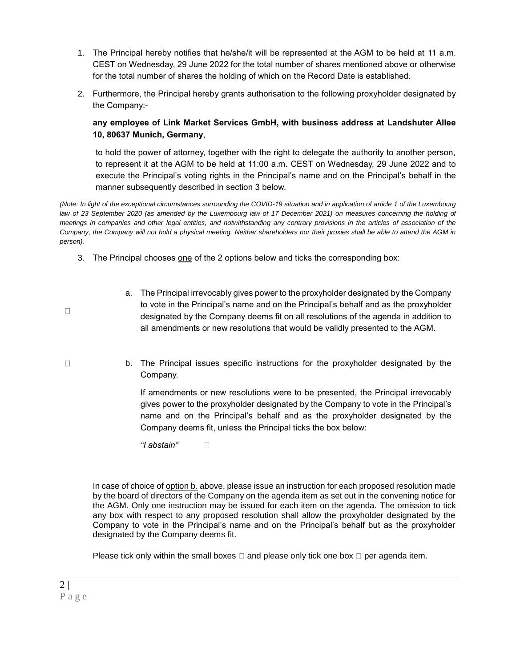- 1. The Principal hereby notifies that he/she/it will be represented at the AGM to be held at 11 a.m. CEST on Wednesday, 29 June 2022 for the total number of shares mentioned above or otherwise for the total number of shares the holding of which on the Record Date is established.
- 2. Furthermore, the Principal hereby grants authorisation to the following proxyholder designated by the Company:-

## **any employee of Link Market Services GmbH, with business address at Landshuter Allee 10, 80637 Munich, Germany**,

to hold the power of attorney, together with the right to delegate the authority to another person, to represent it at the AGM to be held at 11:00 a.m. CEST on Wednesday, 29 June 2022 and to execute the Principal's voting rights in the Principal's name and on the Principal's behalf in the manner subsequently described in section 3 below.

*(Note: In light of the exceptional circumstances surrounding the COVID-19 situation and in application of article 1 of the Luxembourg*  law of 23 September 2020 (as amended by the Luxembourg law of 17 December 2021) on measures concerning the holding of *meetings in companies and other legal entities, and notwithstanding any contrary provisions in the articles of association of the Company, the Company will not hold a physical meeting. Neither shareholders nor their proxies shall be able to attend the AGM in person).*

- 3. The Principal chooses one of the 2 options below and ticks the corresponding box:
- $\Box$

 $\Box$ 

- a. The Principal irrevocably gives power to the proxyholder designated by the Company to vote in the Principal's name and on the Principal's behalf and as the proxyholder designated by the Company deems fit on all resolutions of the agenda in addition to all amendments or new resolutions that would be validly presented to the AGM.
- b. The Principal issues specific instructions for the proxyholder designated by the Company.

If amendments or new resolutions were to be presented, the Principal irrevocably gives power to the proxyholder designated by the Company to vote in the Principal's name and on the Principal's behalf and as the proxyholder designated by the Company deems fit, unless the Principal ticks the box below:

*"I abstain"*   $\Box$ 

In case of choice of option b. above, please issue an instruction for each proposed resolution made by the board of directors of the Company on the agenda item as set out in the convening notice for the AGM. Only one instruction may be issued for each item on the agenda. The omission to tick any box with respect to any proposed resolution shall allow the proxyholder designated by the Company to vote in the Principal's name and on the Principal's behalf but as the proxyholder designated by the Company deems fit.

Please tick only within the small boxes  $\Box$  and please only tick one box  $\Box$  per agenda item.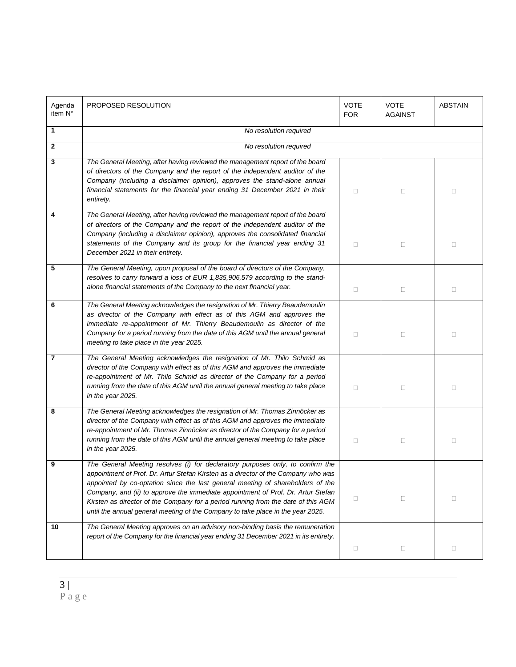| Agenda<br>item N° | PROPOSED RESOLUTION                                                                                                                                                                                                                                                                                                                                                                                                                                                                                                | <b>VOTE</b><br><b>FOR</b> | VOTE<br><b>AGAINST</b> | <b>ABSTAIN</b> |  |
|-------------------|--------------------------------------------------------------------------------------------------------------------------------------------------------------------------------------------------------------------------------------------------------------------------------------------------------------------------------------------------------------------------------------------------------------------------------------------------------------------------------------------------------------------|---------------------------|------------------------|----------------|--|
| 1                 | No resolution required                                                                                                                                                                                                                                                                                                                                                                                                                                                                                             |                           |                        |                |  |
| $\mathbf{2}$      | No resolution required                                                                                                                                                                                                                                                                                                                                                                                                                                                                                             |                           |                        |                |  |
| 3                 | The General Meeting, after having reviewed the management report of the board<br>of directors of the Company and the report of the independent auditor of the<br>Company (including a disclaimer opinion), approves the stand-alone annual<br>financial statements for the financial year ending 31 December 2021 in their<br>entirety.                                                                                                                                                                            | $\Box$                    | $\Box$                 | $\Box$         |  |
| 4                 | The General Meeting, after having reviewed the management report of the board<br>of directors of the Company and the report of the independent auditor of the<br>Company (including a disclaimer opinion), approves the consolidated financial<br>statements of the Company and its group for the financial year ending 31<br>December 2021 in their entirety.                                                                                                                                                     | $\Box$                    | O                      | O              |  |
| 5                 | The General Meeting, upon proposal of the board of directors of the Company,<br>resolves to carry forward a loss of EUR 1,835,906,579 according to the stand-<br>alone financial statements of the Company to the next financial year.                                                                                                                                                                                                                                                                             | $\Box$                    | $\Box$                 | $\Box$         |  |
| 6                 | The General Meeting acknowledges the resignation of Mr. Thierry Beaudemoulin<br>as director of the Company with effect as of this AGM and approves the<br>immediate re-appointment of Mr. Thierry Beaudemoulin as director of the<br>Company for a period running from the date of this AGM until the annual general<br>meeting to take place in the year 2025.                                                                                                                                                    | $\Box$                    | $\Box$                 | $\Box$         |  |
| 7                 | The General Meeting acknowledges the resignation of Mr. Thilo Schmid as<br>director of the Company with effect as of this AGM and approves the immediate<br>re-appointment of Mr. Thilo Schmid as director of the Company for a period<br>running from the date of this AGM until the annual general meeting to take place<br>in the year 2025.                                                                                                                                                                    | $\Box$                    | $\Box$                 | $\Box$         |  |
| 8                 | The General Meeting acknowledges the resignation of Mr. Thomas Zinnöcker as<br>director of the Company with effect as of this AGM and approves the immediate<br>re-appointment of Mr. Thomas Zinnöcker as director of the Company for a period<br>running from the date of this AGM until the annual general meeting to take place<br>in the year 2025.                                                                                                                                                            | $\Box$                    | $\Box$                 | $\Box$         |  |
| 9                 | The General Meeting resolves (i) for declaratory purposes only, to confirm the<br>appointment of Prof. Dr. Artur Stefan Kirsten as a director of the Company who was<br>appointed by co-optation since the last general meeting of shareholders of the<br>Company, and (ii) to approve the immediate appointment of Prof. Dr. Artur Stefan<br>Kirsten as director of the Company for a period running from the date of this AGM<br>until the annual general meeting of the Company to take place in the year 2025. | $\Box$                    | $\Box$                 | $\Box$         |  |
| 10                | The General Meeting approves on an advisory non-binding basis the remuneration<br>report of the Company for the financial year ending 31 December 2021 in its entirety.                                                                                                                                                                                                                                                                                                                                            | $\Box$                    | $\Box$                 | $\Box$         |  |